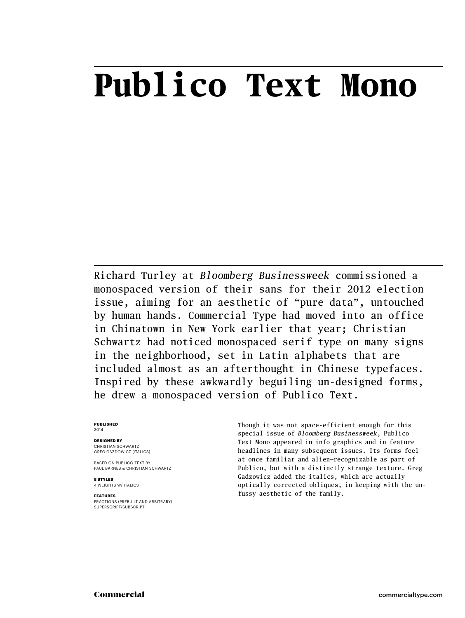## **Publico Text Mono**

Richard Turley at *Bloomberg Businessweek* commissioned a monospaced version of their sans for their 2012 election issue, aiming for an aesthetic of "pure data", untouched by human hands. Commercial Type had moved into an office in Chinatown in New York earlier that year; Christian Schwartz had noticed monospaced serif type on many signs in the neighborhood, set in Latin alphabets that are included almost as an afterthought in Chinese typefaces. Inspired by these awkwardly beguiling un-designed forms, he drew a monospaced version of Publico Text.

### **Published** 2014

### **Designed by**

CHRISTIAN SCHWARTZ Greg Gazdowicz (italics)

based on publico text by PAUL BARNES & CHRISTIAN SCHWARTZ

**8 styles** 4 weights w/ ITALICS

### **Features**

Fractions (prebuilt and arbitrary) SUPERSCRIPT/SUBSCRIPT

Though it was not space-efficient enough for this special issue of *Bloomberg Businessweek*, Publico Text Mono appeared in info graphics and in feature headlines in many subsequent issues. Its forms feel at once familiar and alien—recognizable as part of Publico, but with a distinctly strange texture. Greg Gadzowicz added the italics, which are actually optically corrected obliques, in keeping with the unfussy aesthetic of the family.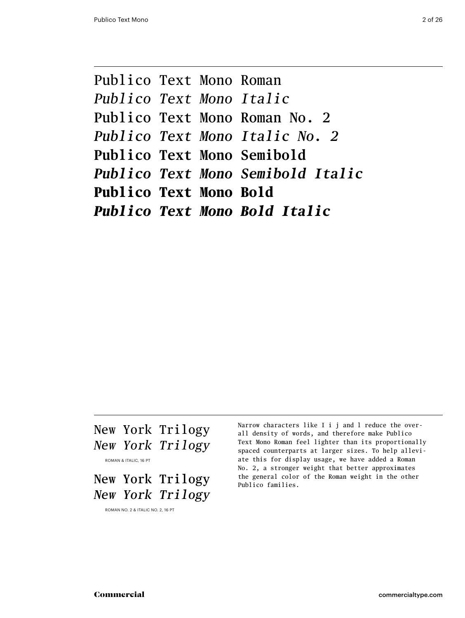Publico Text Mono Roman *Publico Text Mono Italic* Publico Text Mono Roman No. 2 *Publico Text Mono Italic No. 2* **Publico Text Mono Semibold** *Publico Text Mono Semibold Italic* **Publico Text Mono Bold** *Publico Text Mono Bold Italic*

### New York Trilogy *New York Trilogy*

Roman & Italic, 16 pt

New York Trilogy *New York Trilogy*

Roman No. 2 & Italic No. 2, 16 pt

Narrow characters like I i j and l reduce the overall density of words, and therefore make Publico Text Mono Roman feel lighter than its proportionally spaced counterparts at larger sizes. To help alleviate this for display usage, we have added a Roman No. 2, a stronger weight that better approximates the general color of the Roman weight in the other Publico families.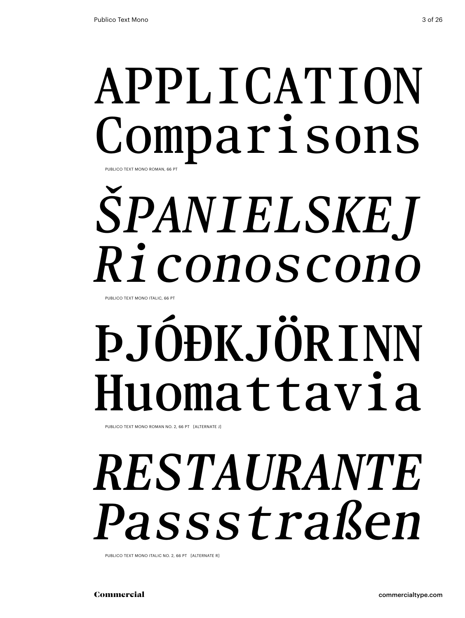# **APPLICATION** Comparisons PUBLICO TEXT MONO ROMAN, 66 P

# *Španielskej Riconoscono*

PUBLICO TEXT MONO ITALIC, 66 PT

# **Þ.JÓÐK.JÖRINN** Huomattavia

Publico Text Mono Roman No. 2, 66 Pt [alternate j]

# *restaurante Passstraßen*

PUBLICO TEXT MONO ITALIC NO. 2, 66 PT [ALTERNATE R]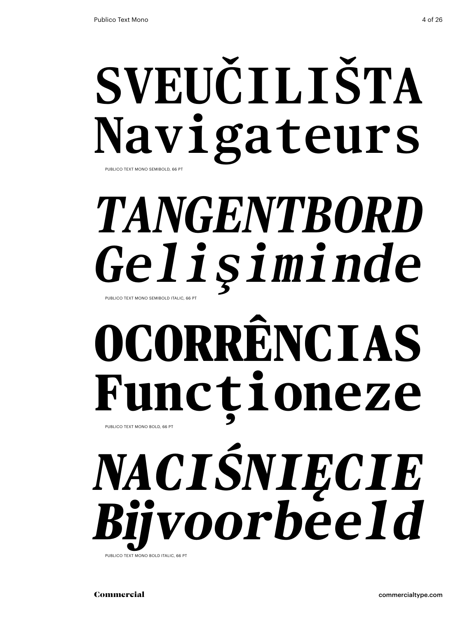# **sveučilišta Navigateurs** Publico Text Mono Semibold, 66 Pt

# *tangentbord Gelişiminde* Publico Text Mono Semibold Italic, 66 Pt

# **ocorrências Funcționeze**

PUBLICO TEXT MONO BOLD, 66 PT

# *naciśnięcie Bijvoorbeeld*  Publico Text Mono Bold Italic, 66 Pt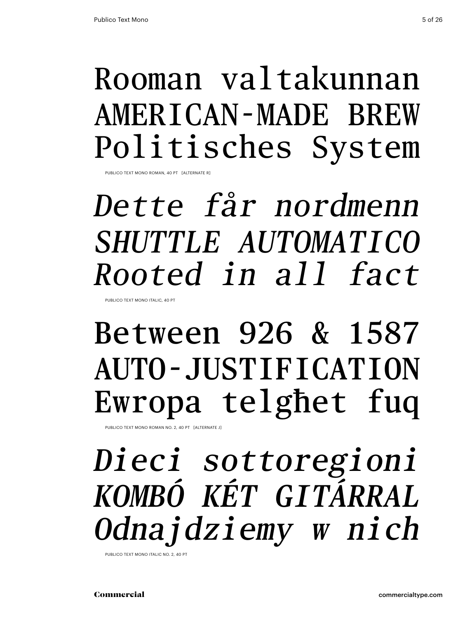### Rooman valtakunnan American-made brew Politisches System

PUBLICO TEXT MONO ROMAN, 40 PT [ALTERNATE

# *Dette får nordmenn Shuttle automatico Rooted in all fact*

Publico Text Mono Italic, 40 Pt

## Between 926 & 1587 auto-justification Ewropa telgħet fuq

PUBLICO TEXT MONO ROMAN NO. 2, 40 PT [ALTERNATE J]

## *Dieci sottoregioni Kombó két gitárral Odnajdziemy w nich*

Publico Text Mono Italic No. 2, 40 Pt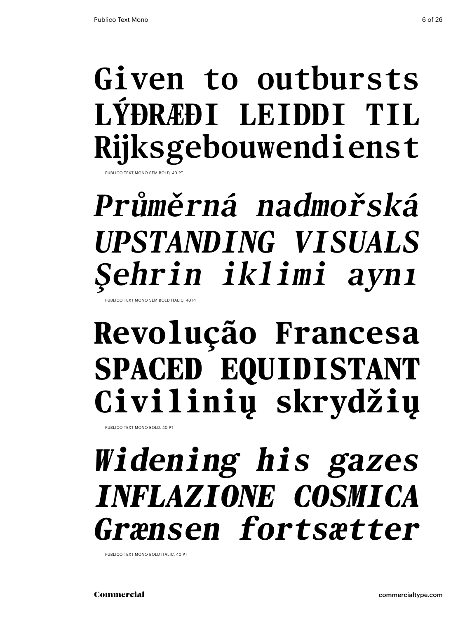# **Given to outbursts Lýðræði leiddi til Rijksgebouwendienst**

**JBLICO TEXT MONO SEMIBOLD, 40** 

### *Průměrná nadmořská upstanding visuals Şehrin iklimi aynı* Publico Text Mono Semibold Italic, 40 Pt

### **Revolução Francesa spaced equidistant Civilinių skrydžių**

Publico Text Mono Bold, 40 Pt

## *Widening his gazes inflazione cosmica Grænsen fortsætter*

Publico Text Mono Bold Italic, 40 Pt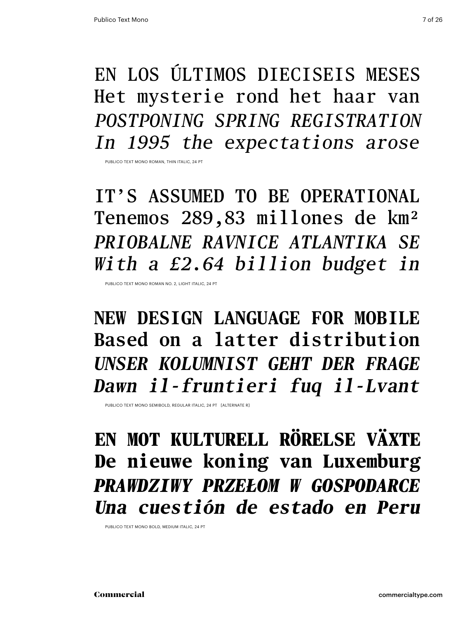En los últimos dieciseis meses Het mysterie rond het haar van *postponing Spring registration In 1995 the expectations arose*

PUBLICO TEXT MONO ROMAN, THIN ITALIC, 24 PT

it's assumed to be operational Tenemos 289,83 millones de km² *Priobalne ravnice Atlantika se With a £2.64 billion budget in*

Publico Text Mono Roman No. 2, light italic, 24 Pt

**new design language for mobile Based on a latter distribution** *Unser Kolumnist geht der Frage Dawn il-fruntieri fuq il-Lvant*

PUBLICO TEXT MONO SEMIBOLD, REGULAR ITALIC, 24 PT [ALTERNATE R]

**en mot kulturell rörelse växte De nieuwe koning van Luxemburg** *Prawdziwy przełom w gospodarce Una cuestión de estado en Peru*

Publico Text Mono Bold, medium italic, 24 Pt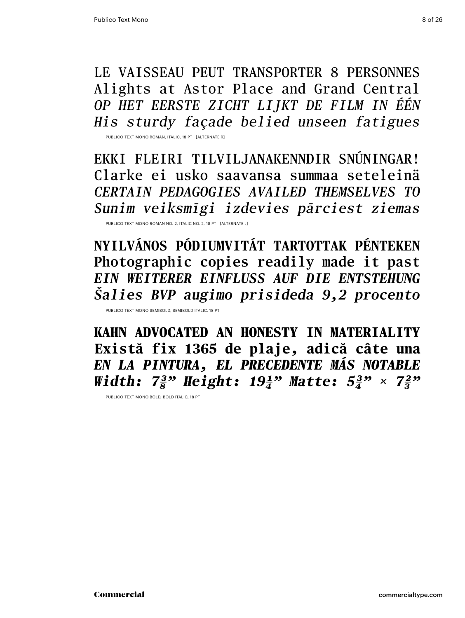Le vaisseau peut transporter 8 personnes Alights at Astor Place and Grand Central *Op het eerste zicht lijkt de film in één His sturdy façade belied unseen fatigues*

Publico Text Mono Roman, italic, 18 Pt [alternate r]

Ekki fleiri tilviljanakenndir snúningar! Clarke ei usko saavansa summaa seteleinä *certain pedagogies availed themselves to Sunim veiksmīgi izdevies pārciest ziemas*

Publico Text Mono Roman No. 2, italic no. 2, 18 Pt [alternate j]

**Nyilvános pódiumvitát tartottak pénteken Photographic copies readily made it past** *Ein weiterer Einfluss auf die Entstehung Šalies BVP augimo prisideda 9,2 procento*

Publico Text Mono Semibold, Semibold italic, 18 Pt

**Kahn advocated an honesty in materiality Există fix 1365 de plaje, adică câte una** *En la pintura, el precedente más notable Width:*  $7\frac{3}{8}$ " Height:  $19\frac{1}{4}$ " Matte:  $5\frac{3}{4}$ " ×  $7\frac{2}{3}$ "

Publico Text Mono Bold, Bold italic, 18 Pt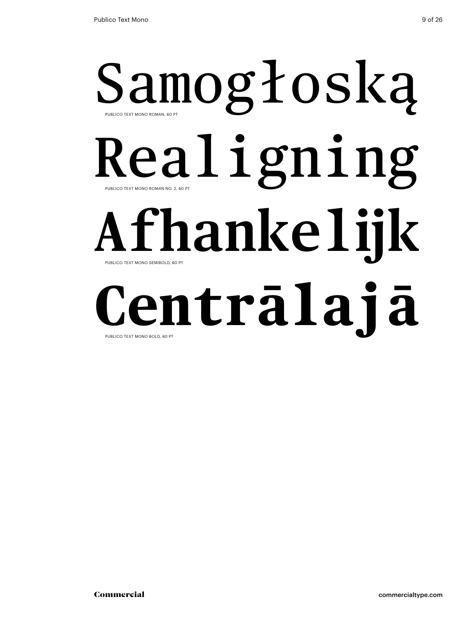# Samogłoską Realigning **Afhankelijk** Publico Text Mono Roman, 60 Pt PUBLICO TEXT MONO ROMAN NO. 2, 60 PT Publico Text Mono Semibold, 60 Pt

### **Centrālajā** PUBLICO TEXT MONO BOLD, 60 PT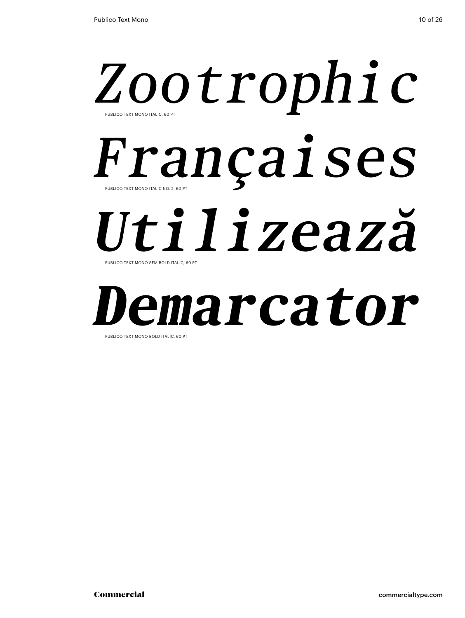# *Zootrophic* Français Compute S *Utilizează* Publico Text Mono Italic, 60 Pt Publico Text Mono Semibold Italic, 60 Pt

# *Demarcator*

PUBLICO TEXT MONO BOLD ITALIC, 60 PT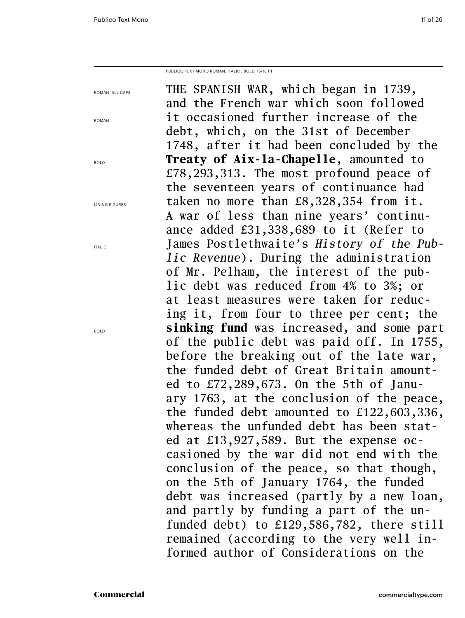Publico Text Mono roman, Italic , bold, 15/18 PT

| ROMAN ALL CAPS        | THE SPANISH WAR, which began in 1739,           |
|-----------------------|-------------------------------------------------|
|                       | and the French war which soon followed          |
| <b>ROMAN</b>          | it occasioned further increase of the           |
|                       | debt, which, on the 31st of December            |
|                       | 1748, after it had been concluded by the        |
| <b>BOLD</b>           | <b>Treaty of Aix-la-Chapelle, amounted to</b>   |
|                       | $£78, 293, 313$ . The most profound peace of    |
|                       | the seventeen years of continuance had          |
| <b>LINING FIGURES</b> | taken no more than £8,328,354 from it.          |
|                       | A war of less than nine years' continu-         |
|                       | ance added £31,338,689 to it (Refer to          |
| <b>ITALIC</b>         | James Postlethwaite's History of the Pub-       |
|                       | <i>lic Revenue</i> ). During the administration |
|                       | of Mr. Pelham, the interest of the pub-         |
|                       | lic debt was reduced from 4% to 3%; or          |
|                       | at least measures were taken for reduc-         |
|                       | ing it, from four to three per cent; the        |
| <b>BOLD</b>           | sinking fund was increased, and some part       |
|                       | of the public debt was paid off. In 1755,       |
|                       | before the breaking out of the late war,        |
|                       | the funded debt of Great Britain amount-        |
|                       | ed to $£72,289,673$ . On the 5th of Janu-       |
|                       | ary 1763, at the conclusion of the peace,       |
|                       | the funded debt amounted to $£122,603,336,$     |
|                       | whereas the unfunded debt has been stat-        |
|                       | ed at £13,927,589. But the expense oc-          |
|                       | casioned by the war did not end with the        |
|                       | conclusion of the peace, so that though,        |
|                       | on the 5th of January 1764, the funded          |
|                       | debt was increased (partly by a new loan,       |
|                       | and partly by funding a part of the un-         |
|                       |                                                 |
|                       | funded debt) to £129,586,782, there still       |
|                       | remained (according to the very well in-        |
|                       | formed author of Considerations on the          |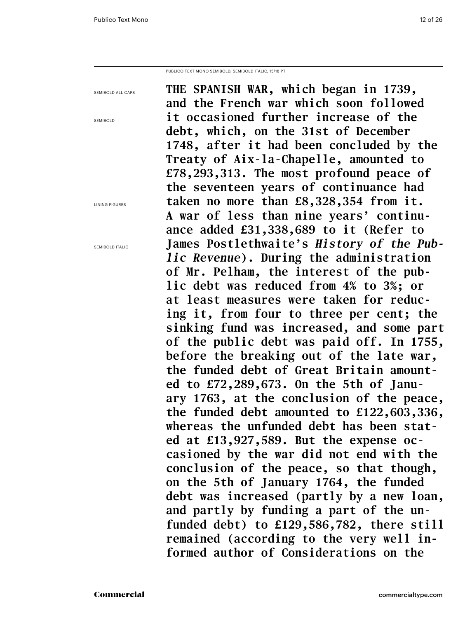Publico Text Mono semibold, semibold Italic, 15/18 PT

| SEMIBOLD ALL CAPS     | THE SPANISH WAR, which began in 1739,           |
|-----------------------|-------------------------------------------------|
|                       | and the French war which soon followed          |
| <b>SEMIBOLD</b>       | it occasioned further increase of the           |
|                       | debt, which, on the 31st of December            |
|                       | 1748, after it had been concluded by the        |
|                       | Treaty of Aix-la-Chapelle, amounted to          |
|                       | £78,293,313. The most profound peace of         |
|                       | the seventeen years of continuance had          |
| <b>LINING FIGURES</b> | taken no more than £8,328,354 from it.          |
|                       | A war of less than nine years' continu-         |
|                       | ance added £31,338,689 to it (Refer to          |
| SEMIBOLD ITALIC       | James Postlethwaite's History of the Pub-       |
|                       | <i>lic Revenue</i> ). During the administration |
|                       | of Mr. Pelham, the interest of the pub-         |
|                       | lic debt was reduced from 4% to 3%; or          |
|                       | at least measures were taken for reduc-         |
|                       | ing it, from four to three per cent; the        |
|                       | sinking fund was increased, and some part       |
|                       | of the public debt was paid off. In 1755,       |
|                       | before the breaking out of the late war,        |
|                       | the funded debt of Great Britain amount-        |
|                       | ed to $£72,289,673$ . On the 5th of Janu-       |
|                       | ary 1763, at the conclusion of the peace,       |
|                       | the funded debt amounted to $£122,603,336,$     |
|                       | whereas the unfunded debt has been stat-        |
|                       | ed at $£13,927,589$ . But the expense oc-       |
|                       | casioned by the war did not end with the        |
|                       | conclusion of the peace, so that though,        |
|                       | on the 5th of January 1764, the funded          |
|                       | debt was increased (partly by a new loan,       |
|                       | and partly by funding a part of the un-         |
|                       | funded debt) to £129,586,782, there still       |
|                       | remained (according to the very well in-        |
|                       | formed author of Considerations on the          |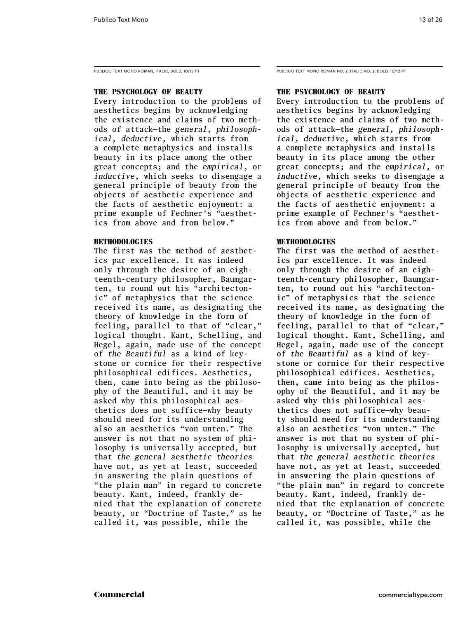### **The Psychology of Beauty**

Every introduction to the problems of aesthetics begins by acknowledging the existence and claims of two methods of attack—the *general, philosophical, deductive*, which starts from a complete metaphysics and installs beauty in its place among the other great concepts; and the *empirical*, or *inductive*, which seeks to disengage a general principle of beauty from the objects of aesthetic experience and the facts of aesthetic enjoyment: a prime example of Fechner's "aesthetics from above and from below."

### **Methodologies**

The first was the method of aesthetics par excellence. It was indeed only through the desire of an eighteenth-century philosopher, Baumgarten, to round out his "architectonic" of metaphysics that the science received its name, as designating the theory of knowledge in the form of feeling, parallel to that of "clear," logical thought. Kant, Schelling, and Hegel, again, made use of the concept of *the Beautiful* as a kind of keystone or cornice for their respective philosophical edifices. Aesthetics, then, came into being as the philosophy of the Beautiful, and it may be asked why this philosophical aesthetics does not suffice—why beauty should need for its understanding also an aesthetics "von unten." The answer is not that no system of philosophy is universally accepted, but that *the general aesthetic theories*  have not, as yet at least, succeeded in answering the plain questions of "the plain man" in regard to concrete beauty. Kant, indeed, frankly denied that the explanation of concrete beauty, or "Doctrine of Taste," as he called it, was possible, while the

PUBLICO TEXT MONO ROMAN, ITALIC, BOLD, 10/12 PT PUBLICO TEXT MONO ROMAN NO. 2, ITALIC NO. 2, BOLD, 10/12 PT

### **The Psychology of Beauty**

Every introduction to the problems of aesthetics begins by acknowledging the existence and claims of two methods of attack—the *general, philosophical, deductive*, which starts from a complete metaphysics and installs beauty in its place among the other great concepts; and the *empirical*, or *inductive*, which seeks to disengage a general principle of beauty from the objects of aesthetic experience and the facts of aesthetic enjoyment: a prime example of Fechner's "aesthetics from above and from below."

### **Methodologies**

The first was the method of aesthetics par excellence. It was indeed only through the desire of an eighteenth-century philosopher, Baumgarten, to round out his "architectonic" of metaphysics that the science received its name, as designating the theory of knowledge in the form of feeling, parallel to that of "clear," logical thought. Kant, Schelling, and Hegel, again, made use of the concept of *the Beautiful* as a kind of keystone or cornice for their respective philosophical edifices. Aesthetics, then, came into being as the philosophy of the Beautiful, and it may be asked why this philosophical aesthetics does not suffice—why beauty should need for its understanding also an aesthetics "von unten." The answer is not that no system of philosophy is universally accepted, but that *the general aesthetic theories*  have not, as yet at least, succeeded in answering the plain questions of "the plain man" in regard to concrete beauty. Kant, indeed, frankly denied that the explanation of concrete beauty, or "Doctrine of Taste," as he called it, was possible, while the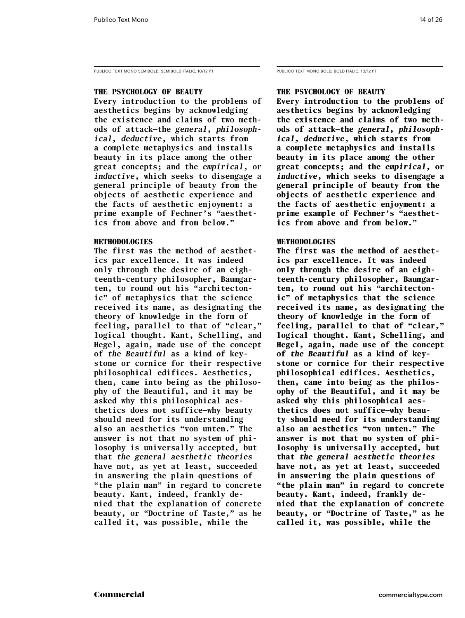PUBLICO TEXT MONO SEMIBOLD, SEMIBOLD ITALIC, 10/12 PT PUBLICO TEXT MONO BOLD, BOLD ITALIC, 10/12 PT

### **The Psychology of Beauty**

**Every introduction to the problems of aesthetics begins by acknowledging the existence and claims of two methods of attack—the** *general, philosophical, deductive***, which starts from a complete metaphysics and installs beauty in its place among the other great concepts; and the** *empirical***, or**  *inductive***, which seeks to disengage a general principle of beauty from the objects of aesthetic experience and the facts of aesthetic enjoyment: a prime example of Fechner's "aesthetics from above and from below."** 

### **Methodologies**

**The first was the method of aesthetics par excellence. It was indeed only through the desire of an eighteenth-century philosopher, Baumgarten, to round out his "architectonic" of metaphysics that the science received its name, as designating the theory of knowledge in the form of feeling, parallel to that of "clear," logical thought. Kant, Schelling, and Hegel, again, made use of the concept of** *the Beautiful* **as a kind of keystone or cornice for their respective philosophical edifices. Aesthetics, then, came into being as the philosophy of the Beautiful, and it may be asked why this philosophical aesthetics does not suffice—why beauty should need for its understanding also an aesthetics "von unten." The answer is not that no system of philosophy is universally accepted, but that** *the general aesthetic theories*  **have not, as yet at least, succeeded in answering the plain questions of "the plain man" in regard to concrete beauty. Kant, indeed, frankly denied that the explanation of concrete beauty, or "Doctrine of Taste," as he called it, was possible, while the** 

### **The Psychology of Beauty**

**Every introduction to the problems of aesthetics begins by acknowledging the existence and claims of two methods of attack—the** *general, philosophical, deductive***, which starts from a complete metaphysics and installs beauty in its place among the other great concepts; and the** *empirical***, or**  *inductive***, which seeks to disengage a general principle of beauty from the objects of aesthetic experience and the facts of aesthetic enjoyment: a prime example of Fechner's "aesthetics from above and from below."** 

### **Methodologies**

**The first was the method of aesthetics par excellence. It was indeed only through the desire of an eighteenth-century philosopher, Baumgarten, to round out his "architectonic" of metaphysics that the science received its name, as designating the theory of knowledge in the form of feeling, parallel to that of "clear," logical thought. Kant, Schelling, and Hegel, again, made use of the concept of** *the Beautiful* **as a kind of keystone or cornice for their respective philosophical edifices. Aesthetics, then, came into being as the philosophy of the Beautiful, and it may be asked why this philosophical aesthetics does not suffice—why beauty should need for its understanding also an aesthetics "von unten." The answer is not that no system of philosophy is universally accepted, but that** *the general aesthetic theories*  **have not, as yet at least, succeeded in answering the plain questions of "the plain man" in regard to concrete beauty. Kant, indeed, frankly denied that the explanation of concrete beauty, or "Doctrine of Taste," as he called it, was possible, while the**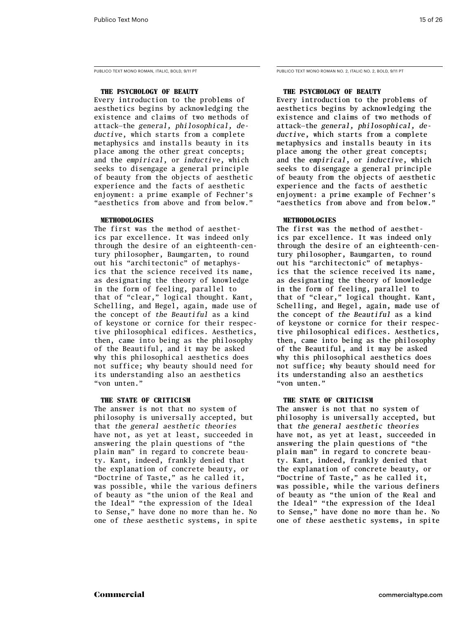Publico Text Mono Roman, Italic, bold, 9/11 PT

### **The Psychology of Beauty**

Every introduction to the problems of aesthetics begins by acknowledging the existence and claims of two methods of attack—the *general, philosophical, deductive*, which starts from a complete metaphysics and installs beauty in its place among the other great concepts; and the *empirical*, or *inductive*, which seeks to disengage a general principle of beauty from the objects of aesthetic experience and the facts of aesthetic enjoyment: a prime example of Fechner's "aesthetics from above and from below."

### **Methodologies**

The first was the method of aesthetics par excellence. It was indeed only through the desire of an eighteenth-century philosopher, Baumgarten, to round out his "architectonic" of metaphysics that the science received its name, as designating the theory of knowledge in the form of feeling, parallel to that of "clear," logical thought. Kant, Schelling, and Hegel, again, made use of the concept of *the Beautiful* as a kind of keystone or cornice for their respective philosophical edifices. Aesthetics, then, came into being as the philosophy of the Beautiful, and it may be asked why this philosophical aesthetics does not suffice; why beauty should need for its understanding also an aesthetics "von unten."

### **The State of Criticism**

The answer is not that no system of philosophy is universally accepted, but that *the general aesthetic theories*  have not, as yet at least, succeeded in answering the plain questions of "the plain man" in regard to concrete beauty. Kant, indeed, frankly denied that the explanation of concrete beauty, or "Doctrine of Taste," as he called it, was possible, while the various definers of beauty as "the union of the Real and the Ideal" "the expression of the Ideal to Sense," have done no more than he. No one of *these* aesthetic systems, in spite Publico Text Mono Roman no. 2, Italic no. 2, bold, 9/11 PT

### **The Psychology of Beauty**

Every introduction to the problems of aesthetics begins by acknowledging the existence and claims of two methods of attack—the *general, philosophical, deductive*, which starts from a complete metaphysics and installs beauty in its place among the other great concepts; and the *empirical*, or *inductive*, which seeks to disengage a general principle of beauty from the objects of aesthetic experience and the facts of aesthetic enjoyment: a prime example of Fechner's "aesthetics from above and from below."

### **Methodologies**

The first was the method of aesthetics par excellence. It was indeed only through the desire of an eighteenth-century philosopher, Baumgarten, to round out his "architectonic" of metaphysics that the science received its name, as designating the theory of knowledge in the form of feeling, parallel to that of "clear," logical thought. Kant, Schelling, and Hegel, again, made use of the concept of *the Beautiful* as a kind of keystone or cornice for their respective philosophical edifices. Aesthetics, then, came into being as the philosophy of the Beautiful, and it may be asked why this philosophical aesthetics does not suffice; why beauty should need for its understanding also an aesthetics "von unten."

### **The State of Criticism**

The answer is not that no system of philosophy is universally accepted, but that *the general aesthetic theories*  have not, as yet at least, succeeded in answering the plain questions of "the plain man" in regard to concrete beauty. Kant, indeed, frankly denied that the explanation of concrete beauty, or "Doctrine of Taste," as he called it, was possible, while the various definers of beauty as "the union of the Real and the Ideal" "the expression of the Ideal to Sense," have done no more than he. No one of *these* aesthetic systems, in spite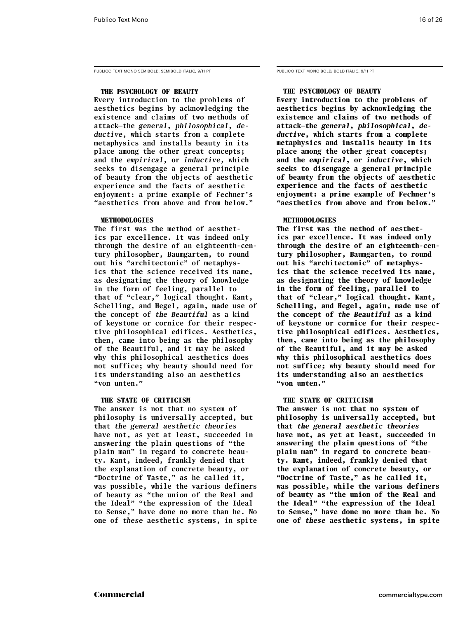PUBLICO TEXT MONO SEMIBOLD, SEMIBOLD ITALIC, 9/11 PT PUBLICO TEXT MONO BOLD, BOLD ITALIC, 9/11 PT

### **The Psychology of Beauty**

**Every introduction to the problems of aesthetics begins by acknowledging the existence and claims of two methods of attack—the** *general, philosophical, deductive***, which starts from a complete metaphysics and installs beauty in its place among the other great concepts; and the** *empirical***, or** *inductive***, which seeks to disengage a general principle of beauty from the objects of aesthetic experience and the facts of aesthetic enjoyment: a prime example of Fechner's "aesthetics from above and from below."** 

### **Methodologies**

**The first was the method of aesthetics par excellence. It was indeed only through the desire of an eighteenth-century philosopher, Baumgarten, to round out his "architectonic" of metaphysics that the science received its name, as designating the theory of knowledge in the form of feeling, parallel to that of "clear," logical thought. Kant, Schelling, and Hegel, again, made use of the concept of** *the Beautiful* **as a kind of keystone or cornice for their respective philosophical edifices. Aesthetics, then, came into being as the philosophy of the Beautiful, and it may be asked why this philosophical aesthetics does not suffice; why beauty should need for its understanding also an aesthetics "von unten."** 

### **The State of Criticism**

**The answer is not that no system of philosophy is universally accepted, but that** *the general aesthetic theories*  **have not, as yet at least, succeeded in answering the plain questions of "the plain man" in regard to concrete beauty. Kant, indeed, frankly denied that the explanation of concrete beauty, or "Doctrine of Taste," as he called it, was possible, while the various definers of beauty as "the union of the Real and the Ideal" "the expression of the Ideal to Sense," have done no more than he. No one of** *these* **aesthetic systems, in spite** 

### **The Psychology of Beauty**

**Every introduction to the problems of aesthetics begins by acknowledging the existence and claims of two methods of attack—the** *general, philosophical, deductive***, which starts from a complete metaphysics and installs beauty in its place among the other great concepts; and the** *empirical***, or** *inductive***, which seeks to disengage a general principle of beauty from the objects of aesthetic experience and the facts of aesthetic enjoyment: a prime example of Fechner's "aesthetics from above and from below."** 

### **Methodologies**

**The first was the method of aesthetics par excellence. It was indeed only through the desire of an eighteenth-century philosopher, Baumgarten, to round out his "architectonic" of metaphysics that the science received its name, as designating the theory of knowledge in the form of feeling, parallel to that of "clear," logical thought. Kant, Schelling, and Hegel, again, made use of the concept of** *the Beautiful* **as a kind of keystone or cornice for their respective philosophical edifices. Aesthetics, then, came into being as the philosophy of the Beautiful, and it may be asked why this philosophical aesthetics does not suffice; why beauty should need for its understanding also an aesthetics "von unten."** 

### **The State of Criticism**

**The answer is not that no system of philosophy is universally accepted, but that** *the general aesthetic theories*  **have not, as yet at least, succeeded in answering the plain questions of "the plain man" in regard to concrete beauty. Kant, indeed, frankly denied that the explanation of concrete beauty, or "Doctrine of Taste," as he called it, was possible, while the various definers of beauty as "the union of the Real and the Ideal" "the expression of the Ideal to Sense," have done no more than he. No one of** *these* **aesthetic systems, in spite**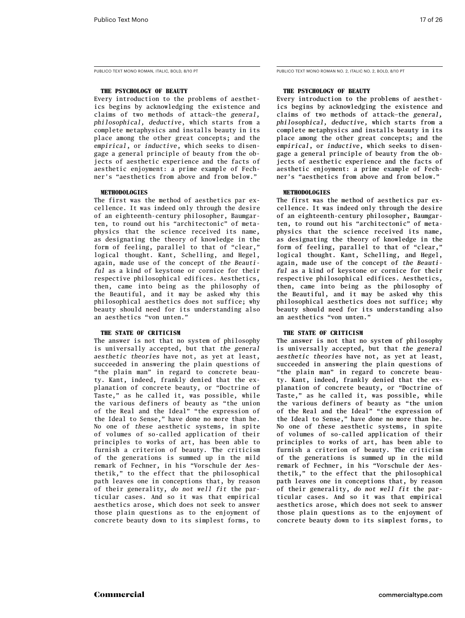Publico Text Mono Roman, Italic, bold, 8/10 PT

### **The Psychology of Beauty**

Every introduction to the problems of aesthetics begins by acknowledging the existence and claims of two methods of attack—the *general, philosophical, deductive*, which starts from a complete metaphysics and installs beauty in its place among the other great concepts; and the *empirical*, or *inductive*, which seeks to disengage a general principle of beauty from the objects of aesthetic experience and the facts of aesthetic enjoyment: a prime example of Fechner's "aesthetics from above and from below."

### **Methodologies**

The first was the method of aesthetics par excellence. It was indeed only through the desire of an eighteenth-century philosopher, Baumgarten, to round out his "architectonic" of metaphysics that the science received its name, as designating the theory of knowledge in the form of feeling, parallel to that of "clear," logical thought. Kant, Schelling, and Hegel, again, made use of the concept of *the Beautiful* as a kind of keystone or cornice for their respective philosophical edifices. Aesthetics, then, came into being as the philosophy of the Beautiful, and it may be asked why this philosophical aesthetics does not suffice; why beauty should need for its understanding also an aesthetics "von unten."

### **The State of Criticism**

The answer is not that no system of philosophy is universally accepted, but that *the general aesthetic theories* have not, as yet at least, succeeded in answering the plain questions of "the plain man" in regard to concrete beauty. Kant, indeed, frankly denied that the explanation of concrete beauty, or "Doctrine of Taste," as he called it, was possible, while the various definers of beauty as "the union of the Real and the Ideal" "the expression of the Ideal to Sense," have done no more than he. No one of *these* aesthetic systems, in spite of volumes of so-called application of their principles to works of art, has been able to furnish a criterion of beauty. The criticism of the generations is summed up in the mild remark of Fechner, in his "Vorschule der Aesthetik," to the effect that the philosophical path leaves one in conceptions that, by reason of their generality, *do not well fit* the particular cases. And so it was that empirical aesthetics arose, which does not seek to answer those plain questions as to the enjoyment of concrete beauty down to its simplest forms, to

PUBLICO TEXT MONO ROMAN NO. 2, ITALIC NO. 2, BOLD, 8/10 PT

### **The Psychology of Beauty**

Every introduction to the problems of aesthetics begins by acknowledging the existence and claims of two methods of attack—the *general, philosophical, deductive*, which starts from a complete metaphysics and installs beauty in its place among the other great concepts; and the *empirical*, or *inductive*, which seeks to disengage a general principle of beauty from the objects of aesthetic experience and the facts of aesthetic enjoyment: a prime example of Fechner's "aesthetics from above and from below."

### **Methodologies**

The first was the method of aesthetics par excellence. It was indeed only through the desire of an eighteenth-century philosopher, Baumgarten, to round out his "architectonic" of metaphysics that the science received its name, as designating the theory of knowledge in the form of feeling, parallel to that of "clear," logical thought. Kant, Schelling, and Hegel, again, made use of the concept of *the Beautiful* as a kind of keystone or cornice for their respective philosophical edifices. Aesthetics, then, came into being as the philosophy of the Beautiful, and it may be asked why this philosophical aesthetics does not suffice; why beauty should need for its understanding also an aesthetics "von unten."

### **The State of Criticism**

The answer is not that no system of philosophy is universally accepted, but that *the general aesthetic theories* have not, as yet at least, succeeded in answering the plain questions of "the plain man" in regard to concrete beauty. Kant, indeed, frankly denied that the explanation of concrete beauty, or "Doctrine of Taste," as he called it, was possible, while the various definers of beauty as "the union of the Real and the Ideal" "the expression of the Ideal to Sense," have done no more than he. No one of *these* aesthetic systems, in spite of volumes of so-called application of their principles to works of art, has been able to furnish a criterion of beauty. The criticism of the generations is summed up in the mild remark of Fechner, in his "Vorschule der Aesthetik," to the effect that the philosophical path leaves one in conceptions that, by reason of their generality, *do not well fit* the particular cases. And so it was that empirical aesthetics arose, which does not seek to answer those plain questions as to the enjoyment of concrete beauty down to its simplest forms, to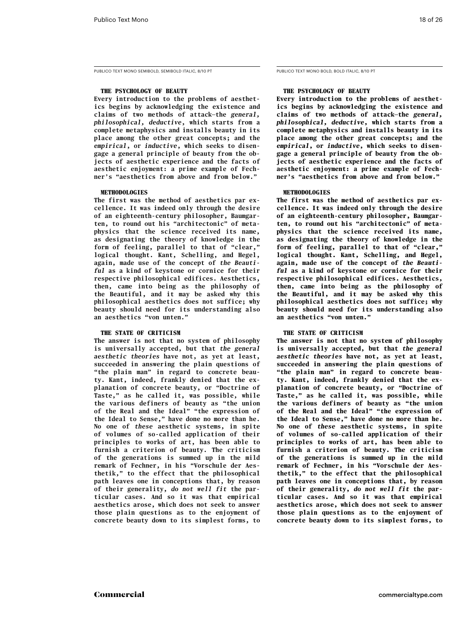### **The Psychology of Beauty**

**Every introduction to the problems of aesthetics begins by acknowledging the existence and claims of two methods of attack—the** *general, philosophical, deductive***, which starts from a complete metaphysics and installs beauty in its place among the other great concepts; and the**  *empirical***, or** *inductive***, which seeks to disengage a general principle of beauty from the objects of aesthetic experience and the facts of aesthetic enjoyment: a prime example of Fechner's "aesthetics from above and from below."** 

### **Methodologies**

**The first was the method of aesthetics par excellence. It was indeed only through the desire of an eighteenth-century philosopher, Baumgarten, to round out his "architectonic" of metaphysics that the science received its name, as designating the theory of knowledge in the form of feeling, parallel to that of "clear," logical thought. Kant, Schelling, and Hegel, again, made use of the concept of** *the Beautiful* **as a kind of keystone or cornice for their respective philosophical edifices. Aesthetics, then, came into being as the philosophy of the Beautiful, and it may be asked why this philosophical aesthetics does not suffice; why beauty should need for its understanding also an aesthetics "von unten."** 

### **The State of Criticism**

**The answer is not that no system of philosophy is universally accepted, but that** *the general aesthetic theories* **have not, as yet at least, succeeded in answering the plain questions of "the plain man" in regard to concrete beauty. Kant, indeed, frankly denied that the explanation of concrete beauty, or "Doctrine of Taste," as he called it, was possible, while the various definers of beauty as "the union of the Real and the Ideal" "the expression of the Ideal to Sense," have done no more than he. No one of** *these* **aesthetic systems, in spite of volumes of so-called application of their principles to works of art, has been able to furnish a criterion of beauty. The criticism of the generations is summed up in the mild remark of Fechner, in his "Vorschule der Aesthetik," to the effect that the philosophical path leaves one in conceptions that, by reason of their generality,** *do not well fit* **the particular cases. And so it was that empirical aesthetics arose, which does not seek to answer those plain questions as to the enjoyment of concrete beauty down to its simplest forms, to** 

### **The Psychology of Beauty**

**Every introduction to the problems of aesthetics begins by acknowledging the existence and claims of two methods of attack—the** *general, philosophical, deductive***, which starts from a complete metaphysics and installs beauty in its place among the other great concepts; and the**  *empirical***, or** *inductive***, which seeks to disengage a general principle of beauty from the objects of aesthetic experience and the facts of aesthetic enjoyment: a prime example of Fechner's "aesthetics from above and from below."** 

### **Methodologies**

**The first was the method of aesthetics par excellence. It was indeed only through the desire of an eighteenth-century philosopher, Baumgarten, to round out his "architectonic" of metaphysics that the science received its name, as designating the theory of knowledge in the form of feeling, parallel to that of "clear," logical thought. Kant, Schelling, and Hegel, again, made use of the concept of** *the Beautiful* **as a kind of keystone or cornice for their respective philosophical edifices. Aesthetics, then, came into being as the philosophy of the Beautiful, and it may be asked why this philosophical aesthetics does not suffice; why beauty should need for its understanding also an aesthetics "von unten."** 

### **The State of Criticism**

**The answer is not that no system of philosophy is universally accepted, but that** *the general aesthetic theories* **have not, as yet at least, succeeded in answering the plain questions of "the plain man" in regard to concrete beauty. Kant, indeed, frankly denied that the explanation of concrete beauty, or "Doctrine of Taste," as he called it, was possible, while the various definers of beauty as "the union of the Real and the Ideal" "the expression of the Ideal to Sense," have done no more than he. No one of** *these* **aesthetic systems, in spite of volumes of so-called application of their principles to works of art, has been able to furnish a criterion of beauty. The criticism of the generations is summed up in the mild remark of Fechner, in his "Vorschule der Aesthetik," to the effect that the philosophical path leaves one in conceptions that, by reason of their generality,** *do not well fit* **the particular cases. And so it was that empirical aesthetics arose, which does not seek to answer those plain questions as to the enjoyment of concrete beauty down to its simplest forms, to**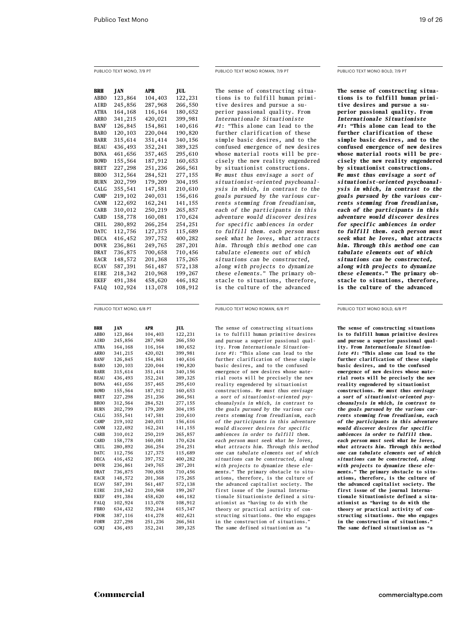### Publico Text Mono, 7/9 PT

**BRH JAN APR JUL**<br>ABBO 123,864 104,403 122,231 104,403 AIRD 245,856 287,968 266,550<br>ATHA 164,168 116,164 180,652 164,168 ARRO 341,215 420,021 399,981 BANF 126,845 154,861 140,616<br>BARO 120,103 220,044 190,820 BARO 120,103 BARR 315,614 351,414 340,156<br>BEAU 436,493 352,241 389,325 BEAU 436,493 BONA 461,656 357,465 295,610 BOWD 155,564 187,912 160,653<br>RRET 227.298 251.236 266,561 BRET 227,298 251,236 266,561 BROO 312,564 284,521 277,155 BURN 202,799 179,209 304,195 CALG 355,541 147,581 210,610 CAMP 219,102 240,031 156,616 CANM 122,692 162,241 141,155 CARB 310,012 250,219 265,857 CARD 158,778 160,081 170,624 CHIL 280,892 266,254 254,251<br>DATC 112,756 127,375 115,689 DATC 112,756 127,375 DECA 416,452 397,752 400,282 DOVR 236,861 249,765 287,201 DRAT 736,875 700,658 710,456 EACR 148,572 201,368 175,265 ecav 587,391 561,487 572,138 EIRE 218,342 210,968 199,267 ekef 491,384 458,620 446,182 falq 102,924 113,078 108,912

The sense of constructing situations is to fulfill human primitive desires and pursue a superior passional quality. From *Internationale Situationiste #1*: "This alone can lead to the further clarification of these simple basic desires, and to the confused emergence of new desires whose material roots will be precisely the new reality engendered by situationist constructions. *We must thus envisage a sort of situationist-oriented psychoanalysis in which, in contrast to the goals pursued by the various currents stemming from freudianism, each of the participants in this adventure would discover desires for specific ambiences in order to fulfill them. each person must seek what he loves, what attracts him. Through this method one can tabulate elements out of which situations can be constructed, along with projects to dynamize these elements.*" The primary obstacle to situations, therefore, is the culture of the advanced

Publico Text Mono roman, 7/9 PT

### Publico Text Mono bold, 7/9 PT

**The sense of constructing situations is to fulfill human primitive desires and pursue a superior passional quality. From**  *Internationale Situationiste #1***: "This alone can lead to the further clarification of these simple basic desires, and to the confused emergence of new desires whose material roots will be precisely the new reality engendered by situationist constructions.**  *We must thus envisage a sort of situationist-oriented psychoanalysis in which, in contrast to the goals pursued by the various currents stemming from freudianism, each of the participants in this adventure would discover desires for specific ambiences in order to fulfill them. each person must seek what he loves, what attracts him. Through this method one can tabulate elements out of which situations can be constructed, along with projects to dynamize these elements.***" The primary obstacle to situations, therefore, is the culture of the advanced** 

Publico Text Mono, 6/8 Pt

| BRH          | JAN     | APR     | JUL     |
|--------------|---------|---------|---------|
| ABBO         | 123,864 | 104,403 | 122,231 |
| AIRD         | 245,856 | 287,968 | 266,550 |
| ATHA         | 164,168 | 116,164 | 180,652 |
| <b>ARRO</b>  | 341,215 | 420,021 | 399,981 |
| BANF         | 126,845 | 154,861 | 140,616 |
| <b>BARO</b>  | 120,103 | 220,044 | 190,820 |
| BARR         | 315,614 | 351,414 | 340,156 |
| BEAU         | 436,493 | 352,241 | 389,325 |
| BONA         | 461,656 | 357,465 | 295,610 |
| <b>BOWD</b>  | 155,564 | 187,912 | 160,653 |
| BRET         | 227,298 | 251,236 | 266,561 |
| <b>BROO</b>  | 312,564 | 284,521 | 277,155 |
| BURN         | 202,799 | 179,209 | 304,195 |
| CALG         | 355,541 | 147,581 | 210,610 |
| CAMP         | 219,102 | 240,031 | 156,616 |
| <b>CANM</b>  | 122,692 | 162,241 | 141,155 |
| <b>CARB</b>  | 310,012 | 250,219 | 265,857 |
| <b>CARD</b>  | 158,778 | 160,081 | 170,624 |
| CHT L        | 280,892 | 266,254 | 254,251 |
| DATC         | 112,756 | 127,375 | 115,689 |
| DECA         | 416,452 | 397,752 | 400,282 |
| DOVR         | 236,861 | 249,765 | 287,201 |
| DRAT         | 736,875 | 700,658 | 710,456 |
| <b>EACR</b>  | 148,572 | 201,368 | 175,265 |
| <b>ECAV</b>  | 587,391 | 561,487 | 572,138 |
| <b>EIRE</b>  | 218,342 | 210,968 | 199,267 |
| EKEF         | 491,384 | 458,620 | 446,182 |
| FALQ         | 102,924 | 113,078 | 108,912 |
| <b>FBRO</b>  | 634,432 | 592,244 | 615,347 |
| <b>FDOR</b>  | 387,116 | 414,278 | 402,621 |
| FORW         | 227,298 | 251,236 | 266,561 |
| <b>GCM</b> I | 436.493 | 352.241 | 389.325 |

Publico Text Mono roman, 6/8 PT

The sense of constructing situations is to fulfill human primitive desires and pursue a superior passional quality. From *Internationale Situationiste #1*: "This alone can lead to the further clarification of these simple basic desires, and to the confused emergence of new desires whose material roots will be precisely the new reality engendered by situationist constructions. *We must thus envisage a sort of situationist-oriented psychoanalysis in which, in contrast to the goals pursued by the various currents stemming from freudianism, each of the participants in this adventure would discover desires for specific ambiences in order to fulfill them. each person must seek what he loves, what attracts him. Through this method one can tabulate elements out of which situations can be constructed, along with projects to dynamize these elements.*" The primary obstacle to situations, therefore, is the culture of the advanced capitalist society. The first issue of the journal Internationale Situationiste defined a situationist as "having to do with the theory or practical activity of constructing situations. One who engages in the construction of situations. The same defined situationism as "a

Publico Text Mono bold, 6/8 PT

**The sense of constructing situations is to fulfill human primitive desires and pursue a superior passional quality. From** *Internationale Situationiste #1***: "This alone can lead to the further clarification of these simple basic desires, and to the confused emergence of new desires whose material roots will be precisely the new reality engendered by situationist constructions.** *We must thus envisage a sort of situationist-oriented psychoanalysis in which, in contrast to the goals pursued by the various currents stemming from freudianism, each of the participants in this adventure would discover desires for specific ambiences in order to fulfill them. each person must seek what he loves, what attracts him. Through this method one can tabulate elements out of which situations can be constructed, along with projects to dynamize these elements.***" The primary obstacle to situations, therefore, is the culture of the advanced capitalist society. The first issue of the journal Internationale Situationiste defined a situationist as "having to do with the theory or practical activity of constructing situations. One who engages**  in the construction of situations. **The same defined situationism as "a**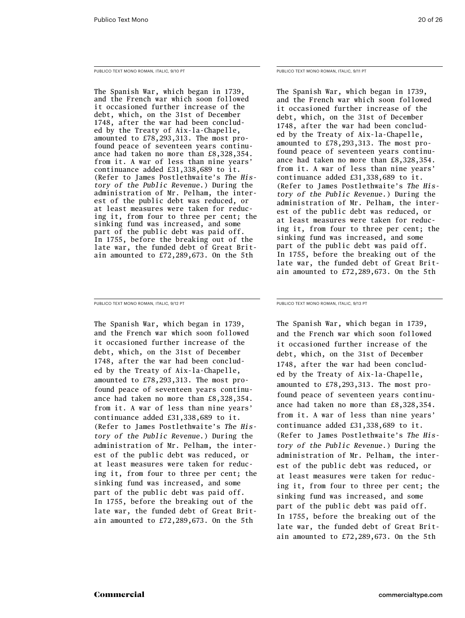Publico Text Mono Roman, italic, 9/10 PT

The Spanish War, which began in 1739, and the French war which soon followed it occasioned further increase of the debt, which, on the 31st of December 1748, after the war had been concluded by the Treaty of Aix-la-Chapelle, amounted to £78,293,313. The most profound peace of seventeen years continuance had taken no more than £8,328,354. from it. A war of less than nine years' continuance added £31,338,689 to it. (Refer to James Postlethwaite's *The History of the Public Revenue.*) During the administration of Mr. Pelham, the interest of the public debt was reduced, or at least measures were taken for reducing it, from four to three per cent; the sinking fund was increased, and some part of the public debt was paid off. In 1755, before the breaking out of the late war, the funded debt of Great Britain amounted to £72,289,673. On the 5th

Publico Text Mono Roman, italic, 9/12 PT

The Spanish War, which began in 1739, and the French war which soon followed it occasioned further increase of the debt, which, on the 31st of December 1748, after the war had been concluded by the Treaty of Aix-la-Chapelle, amounted to £78,293,313. The most profound peace of seventeen years continuance had taken no more than £8,328,354. from it. A war of less than nine years' continuance added £31,338,689 to it. (Refer to James Postlethwaite's *The History of the Public Revenue.*) During the administration of Mr. Pelham, the interest of the public debt was reduced, or at least measures were taken for reducing it, from four to three per cent; the sinking fund was increased, and some part of the public debt was paid off. In 1755, before the breaking out of the late war, the funded debt of Great Britain amounted to £72,289,673. On the 5th

Publico Text Mono Roman, italic, 9/11 PT

The Spanish War, which began in 1739, and the French war which soon followed it occasioned further increase of the debt, which, on the 31st of December 1748, after the war had been concluded by the Treaty of Aix-la-Chapelle, amounted to £78,293,313. The most profound peace of seventeen years continuance had taken no more than £8,328,354. from it. A war of less than nine years' continuance added £31,338,689 to it. (Refer to James Postlethwaite's *The History of the Public Revenue.*) During the administration of Mr. Pelham, the interest of the public debt was reduced, or at least measures were taken for reducing it, from four to three per cent; the sinking fund was increased, and some part of the public debt was paid off. In 1755, before the breaking out of the late war, the funded debt of Great Britain amounted to £72,289,673. On the 5th

Publico Text Mono Roman, italic, 9/13 PT

The Spanish War, which began in 1739, and the French war which soon followed it occasioned further increase of the debt, which, on the 31st of December 1748, after the war had been concluded by the Treaty of Aix-la-Chapelle, amounted to £78,293,313. The most profound peace of seventeen years continuance had taken no more than £8,328,354. from it. A war of less than nine years' continuance added £31,338,689 to it. (Refer to James Postlethwaite's *The History of the Public Revenue.*) During the administration of Mr. Pelham, the interest of the public debt was reduced, or at least measures were taken for reducing it, from four to three per cent; the sinking fund was increased, and some part of the public debt was paid off. In 1755, before the breaking out of the late war, the funded debt of Great Britain amounted to £72,289,673. On the 5th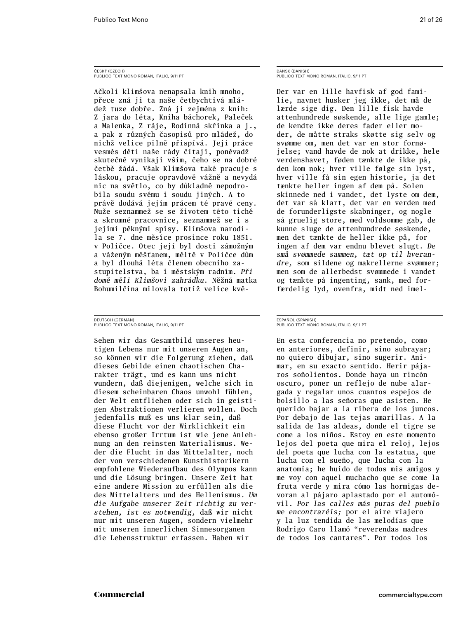### ČESKÝ (CZECH) Publico Text Mono Roman, italic, 9/11 PT

Ačkoli klimšova nenapsala knih mnoho, přece zná ji ta naše četbychtivá mládež tuze dobře. Zná ji zejména z knih: Z jara do léta, Kniha báchorek, Paleček a Malenka, Z ráje, Rodinná skřínka a j., a pak z různých časopisů pro mládež, do nichž velice pilně přispívá. Její práce vesměs děti naše rády čítají, poněvadž skutečně vynikají vším, čeho se na dobré četbě žádá. Však Klimšova také pracuje s láskou, pracuje opravdově vážně a nevydá nic na světlo, co by důkladně nepodrobila soudu svému i soudu jiných. A to právě dodává jejím prácem té pravé ceny. Nuže seznammež se se životem této tiché a skromné pracovnice, seznammež se i s jejími pěknými spisy. Klimšova narodila se 7. dne měsíce prosince roku 1851. v Poličce. Otec její byl dosti zámožným a váženým měšťanem, měltě v Poličce dům a byl dlouhá léta členem obecního zastupitelstva, ba i městským radním. *Při domě měli Klimšovi zahrádku.* Něžná matka Bohumilčina milovala totiž velice kvě-

DEUTSCH (GERMAN) Publico Text Mono Roman, italic, 9/11 PT

Sehen wir das Gesamtbild unseres heutigen Lebens nur mit unseren Augen an, so können wir die Folgerung ziehen, daß dieses Gebilde einen chaotischen Charakter trägt, und es kann uns nicht wundern, daß diejenigen, welche sich in diesem scheinbaren Chaos unwohl fühlen, der Welt entfliehen oder sich in geistigen Abstraktionen verlieren wollen. Doch jedenfalls muß es uns klar sein, daß diese Flucht vor der Wirklichkeit ein ebenso großer Irrtum ist wie jene Anlehnung an den reinsten Materialismus. Weder die Flucht in das Mittelalter, noch der von verschiedenen Kunsthistorikern empfohlene Wiederaufbau des Olympos kann und die Lösung bringen. Unsere Zeit hat eine andere Mission zu erfüllen als die des Mittelalters und des Hellenismus. *Um die Aufgabe unserer Zeit richtig zu verstehen, ist es notwendig,* daß wir nicht nur mit unseren Augen, sondern vielmehr mit unseren innerlichen Sinnesorganen die Lebensstruktur erfassen. Haben wir

DANSK (DANISH) Publico Text Mono Roman, italic, 9/11 PT

Der var en lille havfisk af god familie, navnet husker jeg ikke, det må de lærde sige dig. Den lille fisk havde attenhundrede søskende, alle lige gamle; de kendte ikke deres fader eller moder, de måtte straks skøtte sig selv og svømme om, men det var en stor fornøjelse; vand havde de nok at drikke, hele verdenshavet, føden tænkte de ikke på, den kom nok; hver ville følge sin lyst, hver ville få sin egen historie, ja det tænkte heller ingen af dem på. Solen skinnede ned i vandet, det lyste om dem, det var så klart, det var en verden med de forunderligste skabninger, og nogle så gruelig store, med voldsomme gab, de kunne sluge de attenhundrede søskende, men det tænkte de heller ikke på, for ingen af dem var endnu blevet slugt. *De små svømmede sammen, tæt op til hverandre,* som sildene og makrellerne svømmer; men som de allerbedst svømmede i vandet og tænkte på ingenting, sank, med forfærdelig lyd, ovenfra, midt ned imel-

### ESPAÑOL (SPANISH) Publico Text Mono Roman, italic, 9/11 PT

En esta conferencia no pretendo, como en anteriores, definir, sino subrayar; no quiero dibujar, sino sugerir. Animar, en su exacto sentido. Herir pájaros soñolientos. Donde haya un rincón oscuro, poner un reflejo de nube alargada y regalar unos cuantos espejos de bolsillo a las señoras que asisten. He querido bajar a la ribera de los juncos. Por debajo de las tejas amarillas. A la salida de las aldeas, donde el tigre se come a los niños. Estoy en este momento lejos del poeta que mira el reloj, lejos del poeta que lucha con la estatua, que lucha con el sueño, que lucha con la anatomía; he huido de todos mis amigos y me voy con aquel muchacho que se come la fruta verde y mira cómo las hormigas devoran al pájaro aplastado por el automóvil. *Por las calles más puras del pueblo me encontraréis;* por el aire viajero y la luz tendida de las melodías que Rodrigo Caro llamó "reverendas madres de todos los cantares". Por todos los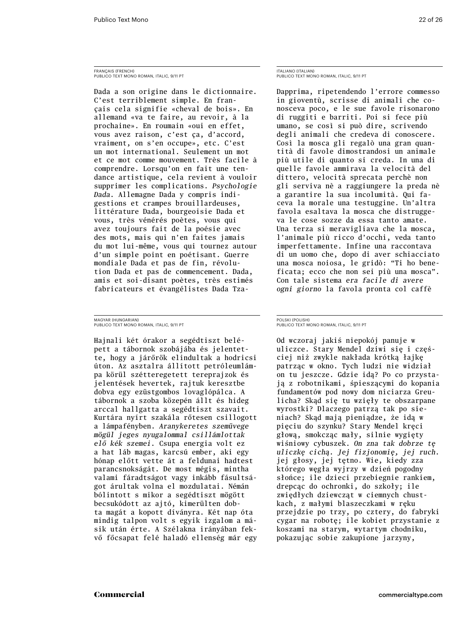### FRANÇAIS (FRENCH) Publico Text Mono Roman, italic, 9/11 PT

Dada a son origine dans le dictionnaire. C'est terriblement simple. En français cela signifie «cheval de bois». En allemand «va te faire, au revoir, à la prochaine». En roumain «oui en effet, vous avez raison, c'est ça, d'accord, vraiment, on s'en occupe», etc. C'est un mot international. Seulement un mot et ce mot comme mouvement. Très facile à comprendre. Lorsqu'on en fait une tendance artistique, cela revient à vouloir supprimer les complications. *Psychologie Dada.* Allemagne Dada y compris indigestions et crampes brouillardeuses, littérature Dada, bourgeoisie Dada et vous, très vénérés poètes, vous qui avez toujours fait de la poésie avec des mots, mais qui n'en faites jamais du mot lui-même, vous qui tournez autour d'un simple point en poétisant. Guerre mondiale Dada et pas de fin, révolution Dada et pas de commencement. Dada, amis et soi-disant poètes, très estimés fabricateurs et évangélistes Dada Tza-

MAGYAR (HUNGARIAN) Publico Text Mono Roman, italic, 9/11 PT

Hajnali két órakor a segédtiszt belépett a tábornok szobájába és jelentette, hogy a járőrök elindultak a hodricsi úton. Az asztalra állított petróleumlámpa körül szétteregetett tereprajzok és jelentések hevertek, rajtuk keresztbe dobva egy ezüstgombos lovaglópálca. A tábornok a szoba közepén állt és hideg arccal hallgatta a segédtiszt szavait. Kurtára nyírt szakála rőtesen csillogott a lámpafényben. *Aranykeretes szemüvege mögül jeges nyugalommal csillámlottak elő kék szemei.* Csupa energia volt ez a hat láb magas, karcsú ember, aki egy hónap előtt vette át a feldunai hadtest parancsnokságát. De most mégis, mintha valami fáradtságot vagy inkább fásultságot árultak volna el mozdulatai. Némán bólintott s mikor a segédtiszt mögött becsukódott az ajtó, kimerülten dobta magát a kopott díványra. Két nap óta mindig talpon volt s egyik izgalom a másik után érte. A Szélakna irányában fekvő főcsapat felé haladó ellenség már egy ITALIANO (ITALIAN) Publico Text Mono Roman, italic, 9/11 PT

Dapprima, ripetendendo l'errore commesso in gioventù, scrisse di animali che conosceva poco, e le sue favole risonarono di ruggiti e barriti. Poi si fece più umano, se così si può dire, scrivendo degli animali che credeva di conoscere. Così la mosca gli regalò una gran quantità di favole dimostrandosi un animale più utile di quanto si creda. In una di quelle favole ammirava la velocità del dittero, velocità sprecata perchè non gli serviva nè a raggiungere la preda nè a garantire la sua incolumità. Qui faceva la morale una testuggine. Un'altra favola esaltava la mosca che distruggeva le cose sozze da essa tanto amate. Una terza si meravigliava che la mosca, l'animale più ricco d'occhi, veda tanto imperfettamente. Infine una raccontava di un uomo che, dopo di aver schiacciato una mosca noiosa, le gridò: "Ti ho beneficata; ecco che non sei più una mosca". Con tale sistema *era facile di avere ogni giorno* la favola pronta col caffè

POLSKI (POLISH) Publico Text Mono Roman, italic, 9/11 PT

Od wczoraj jakiś niepokój panuje w uliczce. Stary Mendel dziwi się i częściej niż zwykle nakłada krótką łajkę patrząc w okno. Tych ludzi nie widział on tu jeszcze. Gdzie idą? Po co przystają z robotnikami, śpieszącymi do kopania fundamentów pod nowy dom niciarza Greulicha? Skąd się tu wzięły te obszarpane wyrostki? Dlaczego patrzą tak po sieniach? Skąd mają pieniądze, że idą w pięciu do szynku? Stary Mendel kręci głową, smokcząc mały, silnie wygięty wiśniowy cybuszek. *On zna tak dobrze tę uliczkę cichą. Jej fizjonomię, jej ruch.* jej głosy, jej tętno. Wie, kiedy zza którego węgła wyjrzy w dzień pogodny słońce; ile dzieci przebiegnie rankiem, drepcąc do ochronki, do szkoły; ile zwiędłych dziewcząt w ciemnych chustkach, z małymi blaszeczkami w ręku przejdzie po trzy, po cztery, do fabryki cygar na robotę; ile kobiet przystanie z koszami na starym, wytartym chodniku, pokazując sobie zakupione jarzyny,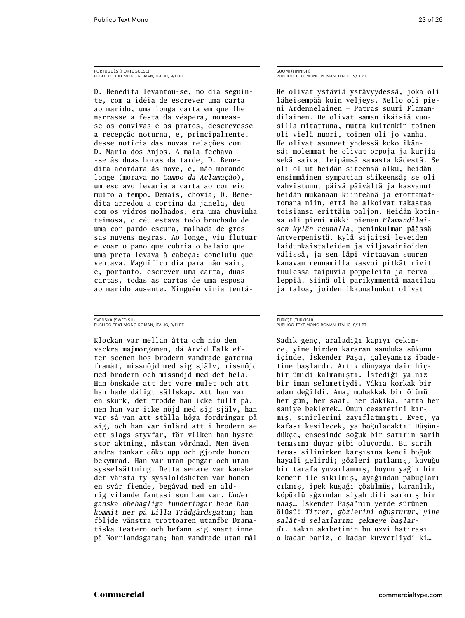### PORTUGUÊS (PORTUGUESE) Publico Text Mono Roman, italic, 9/11 PT

D. Benedita levantou-se, no dia seguinte, com a idéia de escrever uma carta ao marido, uma longa carta em que lhe narrasse a festa da véspera, nomeasse os convivas e os pratos, descrevesse a recepção noturna, e, principalmente, desse notícia das novas relações com D. Maria dos Anjos. A mala fechava- -se às duas horas da tarde, D. Benedita acordara às nove, e, não morando longe (morava no *Campo da Aclamação*), um escravo levaria a carta ao correio muito a tempo. Demais, chovia; D. Benedita arredou a cortina da janela, deu com os vidros molhados; era uma chuvinha teimosa, o céu estava todo brochado de uma cor pardo-escura, malhada de grossas nuvens negras. Ao longe, viu flutuar e voar o pano que cobria o balaio que uma preta levava à cabeça: concluiu que ventava. Magnífico dia para não sair, e, portanto, escrever uma carta, duas cartas, todas as cartas de uma esposa ao marido ausente. Ninguém viria tentá-

SVENSKA (SWEDISH) Publico Text Mono Roman, italic, 9/11 PT

Klockan var mellan åtta och nio den vackra majmorgonen, då Arvid Falk efter scenen hos brodern vandrade gatorna framåt, missnöjd med sig själv, missnöjd med brodern och missnöjd med det hela. Han önskade att det vore mulet och att han hade dåligt sällskap. Att han var en skurk, det trodde han icke fullt på, men han var icke nöjd med sig själv, han var så van att ställa höga fordringar på sig, och han var inlärd att i brodern se ett slags styvfar, för vilken han hyste stor aktning, nästan vördnad. Men även andra tankar döko upp och gjorde honom bekymrad. Han var utan pengar och utan sysselsättning. Detta senare var kanske det värsta ty sysslolösheten var honom en svår fiende, begåvad med en aldrig vilande fantasi som han var. *Under ganska obehagliga funderingar hade han kommit ner på Lilla Trädgårdsgatan;* han följde vänstra trottoaren utanför Dramatiska Teatern och befann sig snart inne på Norrlandsgatan; han vandrade utan mål

SUOMI (FINNISH) Publico Text Mono Roman, italic, 9/11 PT

He olivat ystäviä ystävyydessä, joka oli läheisempää kuin veljeys. Nello oli pieni Ardennelainen — Patras suuri Flamandilainen. He olivat saman ikäisiä vuosilla mitattuna, mutta kuitenkin toinen oli vielä nuori, toinen oli jo vanha. He olivat asuneet yhdessä koko ikänsä; molemmat he olivat orpoja ja kurjia sekä saivat leipänsä samasta kädestä. Se oli ollut heidän siteensä alku, heidän ensimmäinen sympatian säikeensä; se oli vahvistunut päivä päivältä ja kasvanut heidän mukanaan kiinteänä ja erottamattomana niin, että he alkoivat rakastaa toisiansa erittäin paljon. Heidän kotinsa oli pieni mökki pienen *Flamandilaisen kylän reunalla*, peninkulman päässä Antverpenistä. Kylä sijaitsi leveiden laidunkaistaleiden ja viljavainioiden välissä, ja sen läpi virtaavan suuren kanavan reunamilla kasvoi pitkät rivit tuulessa taipuvia poppeleita ja tervaleppiä. Siinä oli parikymmentä maatilaa ja taloa, joiden ikkunaluukut olivat

### TÜRKÇE (TURKISH) Publico Text Mono Roman, italic, 9/11 PT

Sadık genç, araladığı kapıyı çekince, yine birden kararan sanduka sükunu içinde, İskender Paşa, galeyansız ibadetine başlardı. Artık dünyaya dair hiçbir ümidi kalmamıştı. İstediği yalnız bir iman selametiydi. Vâkıa korkak bir adam değildi. Ama, muhakkak bir ölümü her gün, her saat, her dakika, hatta her saniye beklemek… Onun cesaretini kırmış, sinirlerini zayıflatmıştı. Evet, ya kafası kesilecek, ya boğulacaktı! Düşündükçe, ensesinde soğuk bir satırın sarih temasını duyar gibi oluyordu. Bu sarih temas silinirken karşısına kendi boğuk hayali gelirdi; gözleri patlamış, kavuğu bir tarafa yuvarlanmış, boynu yağlı bir kement ile sıkılmış, ayağından pabuçları çıkmış, ipek kuşağı çözülmüş, karanlık, köpüklü ağzından siyah dili sarkmış bir naaş… İskender Paşa'nın yerde sürünen ölüsü! *Titrer, gözlerini oğuşturur, yine salât-ü selamlarını çekmeye başlardı.* Yakın akıbetinin bu uzvî hatırası o kadar bariz, o kadar kuvvetliydi ki…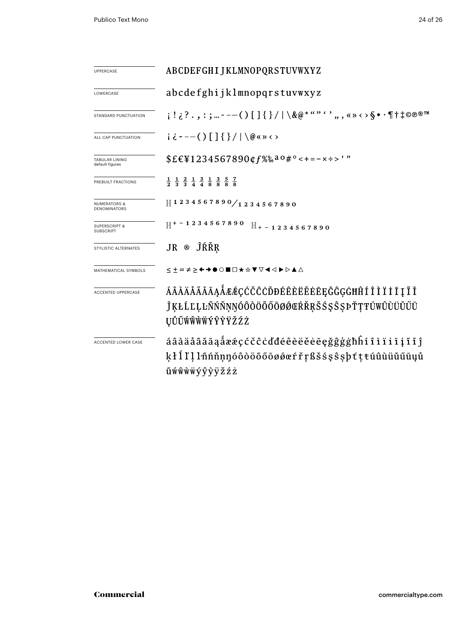| <b>UPPERCASE</b>                               | ABCDEFGHIJKLMNOPQRSTUVWXYZ                                                                                                    |  |  |  |
|------------------------------------------------|-------------------------------------------------------------------------------------------------------------------------------|--|--|--|
| LOWERCASE                                      | abcdefghijklmnopqrstuvwxyz                                                                                                    |  |  |  |
| STANDARD PUNCTUATION                           | $\{1:\{?., :; ---() [ ] \{}\}/ \ \ \& @*```", \ldots, \> \$ \cdot \{\dagger\} \> \mathbb{R}$                                  |  |  |  |
| ALL CAP PUNCTUATION                            | $i \in -(-() [ ] { } /   \otimes \infty \Leftrightarrow \infty$                                                               |  |  |  |
| TABULAR LINING<br>default figures              | $$EEY1234567890$ $$f$ %% a 0 # ° < + = - x ÷ > '"                                                                             |  |  |  |
| PREBUILT FRACTIONS                             | $\frac{1}{2}$ $\frac{1}{3}$ $\frac{2}{3}$ $\frac{1}{4}$ $\frac{3}{4}$ $\frac{1}{8}$ $\frac{3}{8}$ $\frac{5}{8}$ $\frac{7}{8}$ |  |  |  |
| <b>NUMERATORS &amp;</b><br><b>DENOMINATORS</b> | 1234567890/1234567890                                                                                                         |  |  |  |
| <b>SUPERSCRIPT &amp;</b><br><b>SUBSCRIPT</b>   | $H^{+-1}$ 2 3 4 5 6 7 8 9 0 $H_{+-1}$ 2 3 4 5 6 7 8 9 0                                                                       |  |  |  |
| STYLISTIC ALTERNATES                           | JR ® ĴŔŘŖ                                                                                                                     |  |  |  |
| MATHEMATICAL SYMBOLS                           | ≤±≈≠≥←→●○■□★☆▼▽◀◁▶▷▲△                                                                                                         |  |  |  |
| ACCENTED UPPERCASE                             | ÁÂÀÄÅÃĂĀĄÅÆÆÇĆČĈĊĎĐÉÊÈËĔĖĒĘĞĜĢĠĦĤÍÎÌÏİĮĨĬ<br>ĴĶŁĹĽĻĿÑŃŇŅŊÓÔŎÖŐŐŌØØŒŔŘŖŠŚŞŜŞÞŤŢŦÚWÛÙÜŬŰŪ<br>ŲŮŨŴŴŴŴÝŶŸŽŹŻ                      |  |  |  |
| ACCENTED LOWER CASE                            | áâàäåãăāaåææçćčĉċďđéêèëěėeęğĝģġħĥíîìïiiįĩĭĵ<br>kłllllmnnnnnnnn konstrekssess btteu û u u u u<br>ũẃŵẁẅýŷÿžźż                   |  |  |  |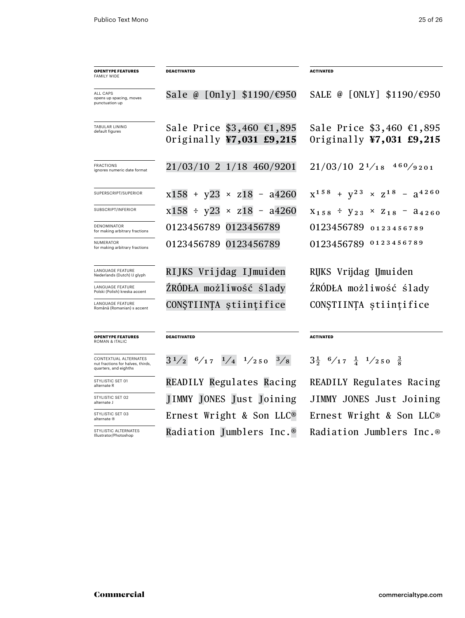| <b>OPENTYPE FEATURES</b><br><b>FAMILY WIDE</b>           | <b>DEACTIVATED</b>                                          | <b>ACTIVATED</b>                                        |
|----------------------------------------------------------|-------------------------------------------------------------|---------------------------------------------------------|
| ALL CAPS<br>opens up spacing, moves<br>punctuation up    | Sale @ [Only] \$1190/€950                                   | SALE @ [ONLY] \$1190/€950                               |
| <b>TABULAR LINING</b><br>default figures                 | Sale Price \$3,460 €1,895<br>Originally $\Psi$ 7,031 £9,215 | Sale Price \$3,460 €1,895<br>Originally $47,031$ £9,215 |
| <b>FRACTIONS</b><br>ignores numeric date format          | 21/03/10 2 1/18 460/9201                                    | $21/03/10$ $2^{1}/18$ $4^{60}/9201$                     |
| SUPERSCRIPT/SUPERIOR                                     | $x158 + y23 \times z18 - a4260$                             | $X^{158} + V^{23} \times Z^{18} - 3^{4260}$             |
| SUBSCRIPT/INFERIOR                                       | $x158 \div y23 \times z18 - a4260$                          | $X_{158} \div Y_{23} \times Z_{18} - A_{4260}$          |
| <b>DENOMINATOR</b><br>for making arbitrary fractions     | 0123456789 0123456789                                       | 0123456789 0123456789                                   |
| <b>NUMERATOR</b><br>for making arbitrary fractions       | 0123456789 0123456789                                       | 0123456789 0123456789                                   |
| <b>LANGUAGE FEATURE</b><br>Nederlands (Dutch) IJ glyph   | RIJKS Vrijdag IJmuiden                                      | RIJKS Vrijdag IJmuiden                                  |
| <b>LANGUAGE FEATURE</b><br>Polski (Polish) kreska accent | ŹRÓDŁA możliwość ślady                                      | ŹRÓDŁA możliwość ślady                                  |
| <b>LANGUAGE FEATURE</b><br>Română (Romanian) s accent    | CONȘTIINȚA științifice                                      | CONȘTIINȚA științifice                                  |
| <b>OPENTYPE FEATURES</b><br><b>ROMAN &amp; ITALIC</b>    | <b>DEACTIVATED</b>                                          | <b>ACTIVATED</b>                                        |
| CONTEVTILAL ALTERNATES                                   | 21 / 2 / 1 / 1 /<br>2/1                                     | 3.<br>01 C / 11                                         |

contextual alternates nut fractions for halves, thirds, quarters, and eighths

STYLISTIC SET 01 alternate R STYLISTIC SET 02 alternate J

STYLISTIC SET 03 alternate �

STYLISTIC ALTERNATES Illustrator/Photoshop

 $3^{1/2}$   $6/17$   $1/4$   $1/250$   $3/8$   $3\frac{1}{2}$   $6/17$   $\frac{1}{4}$   $1/250$   $\frac{3}{8}$ 

Readily Regulates Racing Readily Regulates Racing Ernest Wright & Son LLC® Ernest Wright & Son LLC® Jimmy Jones Just Joining Jimmy Jones Just Joining Radiation Jumblers Inc.® Radiation Jumblers Inc.®